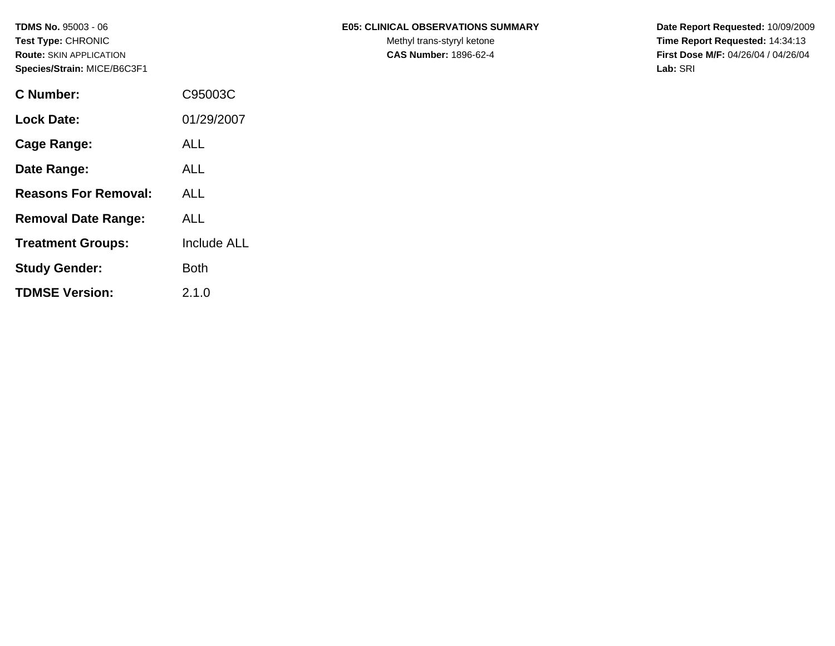| <b>C</b> Number:            | C95003C     |
|-----------------------------|-------------|
| <b>Lock Date:</b>           | 01/29/2007  |
| Cage Range:                 | ALL         |
| Date Range:                 | ALL         |
| <b>Reasons For Removal:</b> | ALL         |
| <b>Removal Date Range:</b>  | ALL         |
| <b>Treatment Groups:</b>    | Include ALL |
| <b>Study Gender:</b>        | Both        |
| <b>TDMSE Version:</b>       | 2.1.0       |

### TDMS No. 95003 - 06 **E05: CLINICAL OBSERVATIONS SUMMARY** Date Report Requested: 10/09/2009

Test Type: CHRONIC **Test Type:** CHRONIC **Test Type:** CHRONIC **Time Report Requested:** 14:34:13 **Route:** SKIN APPLICATION **CAS Number:** 1896-62-4 **First Dose M/F:** 04/26/04 / 04/26/04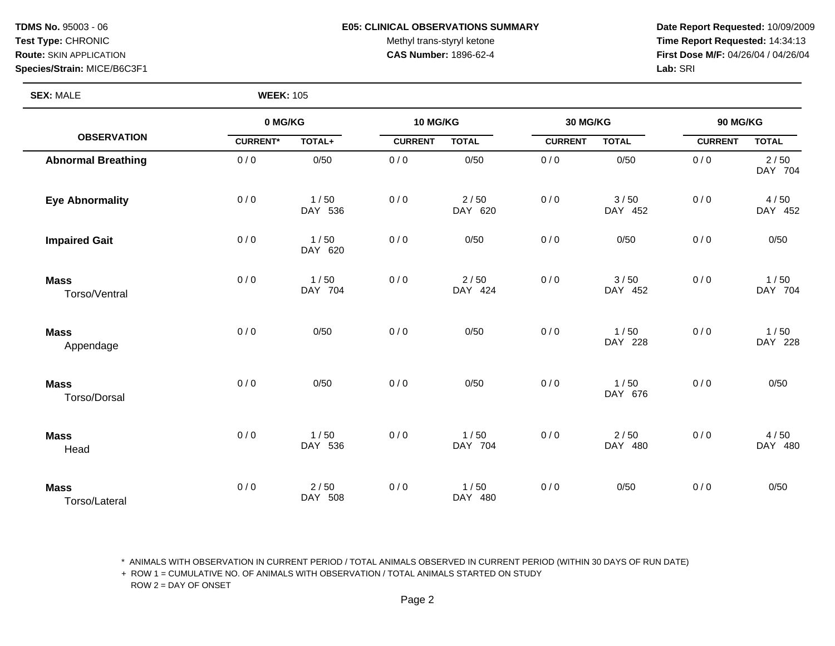#### **TDMS No.** 95003 - 06 **E05: CLINICAL OBSERVATIONS SUMMARY Date Report Requested:** 10/09/2009

Test Type: CHRONIC **Test Type:** CHRONIC **Test Type:** CHRONIC **Time Report Requested:** 14:34:13 **Route:** SKIN APPLICATION **CAS Number:** 1896-62-4 **First Dose M/F:** 04/26/04 / 04/26/04

**SEX:** MALE **WEEK:** 105

|                              |                 | 0 MG/KG<br>10 MG/KG<br>30 MG/KG |                |                 |                | 90 MG/KG        |                |                   |
|------------------------------|-----------------|---------------------------------|----------------|-----------------|----------------|-----------------|----------------|-------------------|
| <b>OBSERVATION</b>           | <b>CURRENT*</b> | TOTAL+                          | <b>CURRENT</b> | <b>TOTAL</b>    | <b>CURRENT</b> | <b>TOTAL</b>    | <b>CURRENT</b> | <b>TOTAL</b>      |
| <b>Abnormal Breathing</b>    | 0/0             | 0/50                            | 0/0            | 0/50            | 0/0            | 0/50            | 0/0            | $2/50$<br>DAY 704 |
| <b>Eye Abnormality</b>       | 0/0             | 1/50<br>DAY 536                 | 0/0            | 2/50<br>DAY 620 | 0/0            | 3/50<br>DAY 452 | 0/0            | 4/50<br>DAY 452   |
| <b>Impaired Gait</b>         | 0/0             | 1/50<br>DAY 620                 | 0/0            | 0/50            | 0/0            | 0/50            | 0/0            | 0/50              |
| <b>Mass</b><br>Torso/Ventral | 0/0             | 1/50<br>DAY 704                 | 0/0            | 2/50<br>DAY 424 | 0/0            | 3/50<br>DAY 452 | 0/0            | 1/50<br>DAY 704   |
| <b>Mass</b><br>Appendage     | 0/0             | 0/50                            | 0/0            | 0/50            | 0/0            | 1/50<br>DAY 228 | 0/0            | 1/50<br>DAY 228   |
| <b>Mass</b><br>Torso/Dorsal  | 0/0             | 0/50                            | 0/0            | 0/50            | 0/0            | 1/50<br>DAY 676 | 0/0            | 0/50              |
| <b>Mass</b><br>Head          | 0/0             | 1/50<br>DAY 536                 | 0/0            | 1/50<br>DAY 704 | 0/0            | 2/50<br>DAY 480 | 0/0            | 4/50<br>DAY 480   |
| <b>Mass</b><br>Torso/Lateral | 0/0             | $2/50$<br>DAY 508               | 0/0            | 1/50<br>DAY 480 | 0/0            | 0/50            | 0/0            | 0/50              |

\* ANIMALS WITH OBSERVATION IN CURRENT PERIOD / TOTAL ANIMALS OBSERVED IN CURRENT PERIOD (WITHIN 30 DAYS OF RUN DATE)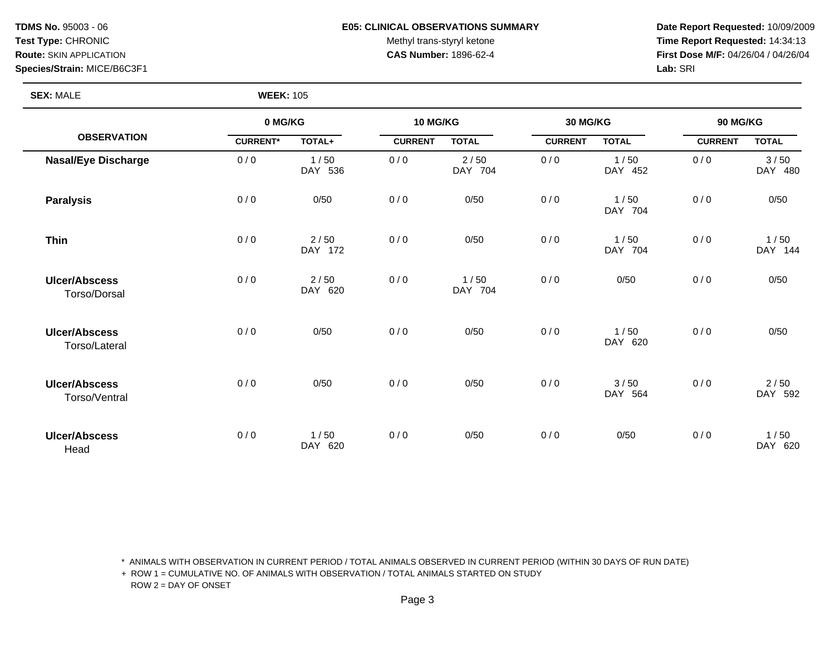### **TDMS No.** 95003 - 06 **E05: CLINICAL OBSERVATIONS SUMMARY Date Report Requested:** 10/09/2009

Test Type: CHRONIC **Test Type:** CHRONIC **Test Type:** CHRONIC **Time Report Requested:** 14:34:13 **Route:** SKIN APPLICATION **CAS Number:** 1896-62-4 **First Dose M/F:** 04/26/04 / 04/26/04

**SEX: MALE** 

|                                       | 0 MG/KG         | 10 MG/KG        |                |                 |                | 30 MG/KG        |                | 90 MG/KG        |  |
|---------------------------------------|-----------------|-----------------|----------------|-----------------|----------------|-----------------|----------------|-----------------|--|
| <b>OBSERVATION</b>                    | <b>CURRENT*</b> | TOTAL+          | <b>CURRENT</b> | <b>TOTAL</b>    | <b>CURRENT</b> | <b>TOTAL</b>    | <b>CURRENT</b> | <b>TOTAL</b>    |  |
| <b>Nasal/Eye Discharge</b>            | 0/0             | 1/50<br>DAY 536 | 0/0            | 2/50<br>DAY 704 | 0/0            | 1/50<br>DAY 452 | 0/0            | 3/50<br>DAY 480 |  |
| <b>Paralysis</b>                      | 0/0             | 0/50            | 0/0            | 0/50            | 0/0            | 1/50<br>DAY 704 | 0/0            | 0/50            |  |
| <b>Thin</b>                           | 0/0             | 2/50<br>DAY 172 | 0/0            | 0/50            | 0/0            | 1/50<br>DAY 704 | 0/0            | 1/50<br>DAY 144 |  |
| <b>Ulcer/Abscess</b><br>Torso/Dorsal  | 0/0             | 2/50<br>DAY 620 | 0/0            | 1/50<br>DAY 704 | 0/0            | 0/50            | 0/0            | 0/50            |  |
| <b>Ulcer/Abscess</b><br>Torso/Lateral | 0/0             | 0/50            | 0/0            | 0/50            | 0/0            | 1/50<br>DAY 620 | 0/0            | 0/50            |  |
| <b>Ulcer/Abscess</b><br>Torso/Ventral | 0/0             | 0/50            | 0/0            | 0/50            | 0/0            | 3/50<br>DAY 564 | 0/0            | 2/50<br>DAY 592 |  |
| <b>Ulcer/Abscess</b><br>Head          | 0/0             | 1/50<br>DAY 620 | 0/0            | 0/50            | 0/0            | 0/50            | 0/0            | 1/50<br>DAY 620 |  |

\* ANIMALS WITH OBSERVATION IN CURRENT PERIOD / TOTAL ANIMALS OBSERVED IN CURRENT PERIOD (WITHIN 30 DAYS OF RUN DATE)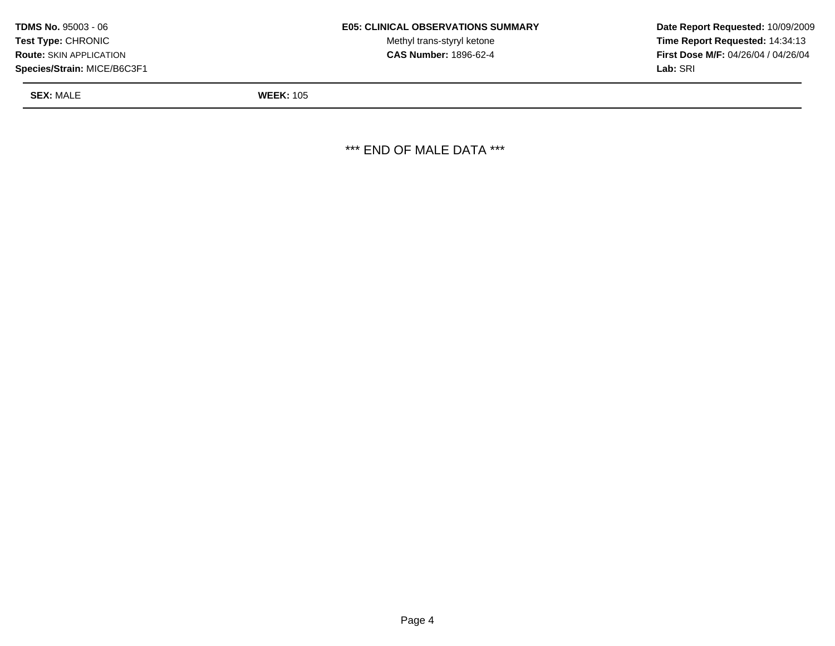| <b>TDMS No. 95003 - 06</b>     | <b>E05: CLINICAL OBSERVATIONS SUMMARY</b> | Date Rer         |
|--------------------------------|-------------------------------------------|------------------|
| <b>Test Type: CHRONIC</b>      | Methyl trans-styryl ketone                | Time Re          |
| <b>Route: SKIN APPLICATION</b> | <b>CAS Number: 1896-62-4</b>              | <b>First Dos</b> |
| Species/Strain: MICE/B6C3F1    |                                           | <b>Lab:</b> SRI  |

Methyl trans-styryl ketone **Time Report Requested:** 14:34:13 **CAS Number:** 1896-62-4 **First Dose M/F:** 04/26/04 / 04/26/04

**SEX:** MALE **WEEK:** 105

\*\*\* END OF MALE DATA \*\*\*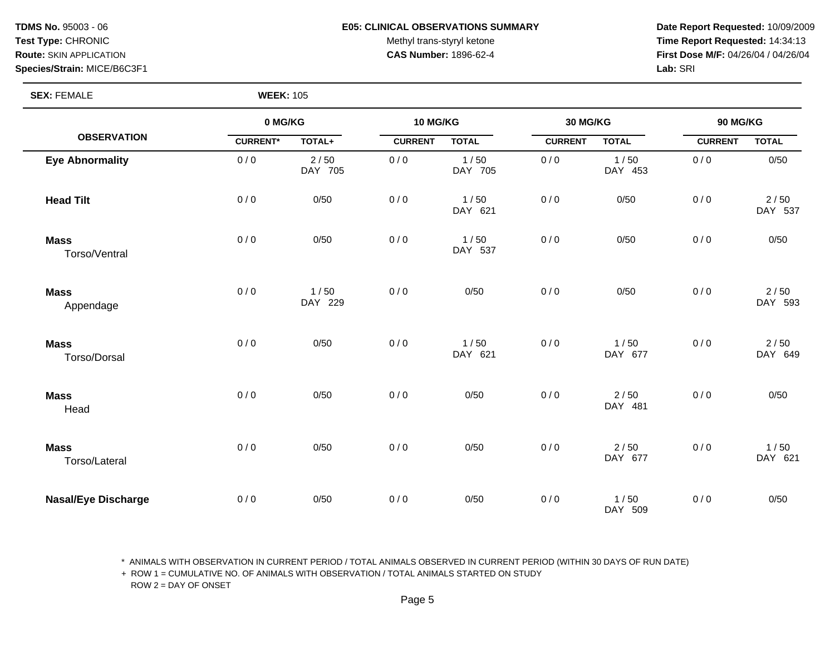#### **TDMS No.** 95003 - 06 **E05: CLINICAL OBSERVATIONS SUMMARY Date Report Requested:** 10/09/2009

Test Type: CHRONIC **Test Type:** CHRONIC **Test Type:** CHRONIC **Time Report Requested:** 14:34:13 **Route:** SKIN APPLICATION **CAS Number:** 1896-62-4 **First Dose M/F:** 04/26/04 / 04/26/04

**SEX:** FEMALE **WEEK:** 105

|                              |                 | 0 MG/KG           |                | 10 MG/KG        |                | 30 MG/KG          |                | 90 MG/KG        |  |
|------------------------------|-----------------|-------------------|----------------|-----------------|----------------|-------------------|----------------|-----------------|--|
| <b>OBSERVATION</b>           | <b>CURRENT*</b> | TOTAL+            | <b>CURRENT</b> | <b>TOTAL</b>    | <b>CURRENT</b> | <b>TOTAL</b>      | <b>CURRENT</b> | <b>TOTAL</b>    |  |
| <b>Eye Abnormality</b>       | 0/0             | $2/50$<br>DAY 705 | 0/0            | 1/50<br>DAY 705 | 0/0            | 1/50<br>DAY 453   | 0/0            | 0/50            |  |
| <b>Head Tilt</b>             | 0/0             | 0/50              | 0/0            | 1/50<br>DAY 621 | 0/0            | 0/50              | 0/0            | 2/50<br>DAY 537 |  |
| <b>Mass</b><br>Torso/Ventral | 0/0             | 0/50              | 0/0            | 1/50<br>DAY 537 | 0/0            | 0/50              | 0/0            | 0/50            |  |
| <b>Mass</b><br>Appendage     | 0/0             | 1/50<br>DAY 229   | 0/0            | 0/50            | 0/0            | 0/50              | 0/0            | 2/50<br>DAY 593 |  |
| <b>Mass</b><br>Torso/Dorsal  | 0/0             | 0/50              | 0/0            | 1/50<br>DAY 621 | 0/0            | 1/50<br>DAY 677   | 0/0            | 2/50<br>DAY 649 |  |
| <b>Mass</b><br>Head          | 0/0             | 0/50              | 0/0            | 0/50            | 0/0            | $2/50$<br>DAY 481 | 0/0            | 0/50            |  |
| <b>Mass</b><br>Torso/Lateral | 0/0             | 0/50              | 0/0            | 0/50            | 0/0            | $2/50$<br>DAY 677 | 0/0            | 1/50<br>DAY 621 |  |
| <b>Nasal/Eye Discharge</b>   | 0/0             | 0/50              | 0/0            | 0/50            | 0/0            | 1/50<br>DAY 509   | 0/0            | 0/50            |  |

\* ANIMALS WITH OBSERVATION IN CURRENT PERIOD / TOTAL ANIMALS OBSERVED IN CURRENT PERIOD (WITHIN 30 DAYS OF RUN DATE)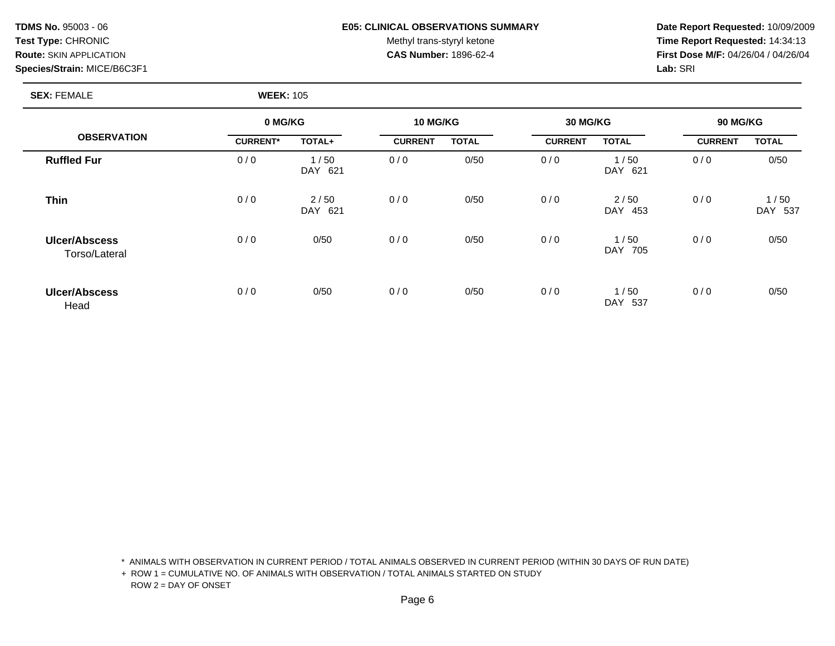#### **TDMS No.** 95003 - 06 **E05: CLINICAL OBSERVATIONS SUMMARY Date Report Requested:** 10/09/2009

Test Type: CHRONIC **Test Type:** CHRONIC **Test Type:** CHRONIC **Time Report Requested:** 14:34:13 **Route:** SKIN APPLICATION **CAS Number:** 1896-62-4 **First Dose M/F:** 04/26/04 / 04/26/04

#### **SEX:** FEMALE **WEEK:** 105

|                                |                 | 0 MG/KG                   |                | <b>10 MG/KG</b> |                | <b>30 MG/KG</b>           |                | <b>90 MG/KG</b>           |  |
|--------------------------------|-----------------|---------------------------|----------------|-----------------|----------------|---------------------------|----------------|---------------------------|--|
| <b>OBSERVATION</b>             | <b>CURRENT*</b> | TOTAL+                    | <b>CURRENT</b> | <b>TOTAL</b>    | <b>CURRENT</b> | <b>TOTAL</b>              | <b>CURRENT</b> | <b>TOTAL</b>              |  |
| <b>Ruffled Fur</b>             | 0/0             | 1/50<br>621<br>DAY.       | 0/0            | 0/50            | 0/0            | 1/50<br><b>DAY</b><br>621 | 0/0            | 0/50                      |  |
| <b>Thin</b>                    | 0/0             | 2/50<br><b>DAY</b><br>621 | 0/0            | 0/50            | 0/0            | 2/50<br><b>DAY</b><br>453 | 0/0            | 1/50<br><b>DAY</b><br>537 |  |
| Ulcer/Abscess<br>Torso/Lateral | 0/0             | 0/50                      | 0/0            | 0/50            | 0/0            | 1/50<br><b>DAY</b><br>705 | 0/0            | 0/50                      |  |
| <b>Ulcer/Abscess</b><br>Head   | 0/0             | 0/50                      | 0/0            | 0/50            | 0/0            | 1/50<br>DAY 537           | 0/0            | 0/50                      |  |

\* ANIMALS WITH OBSERVATION IN CURRENT PERIOD / TOTAL ANIMALS OBSERVED IN CURRENT PERIOD (WITHIN 30 DAYS OF RUN DATE)